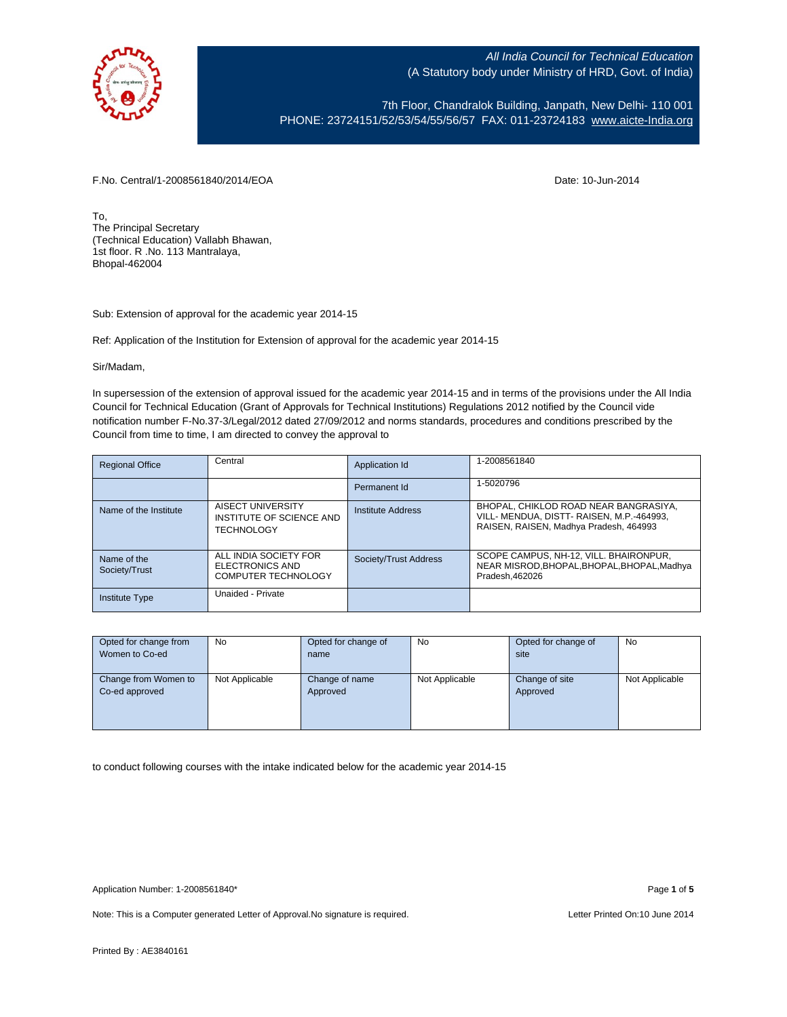

7th Floor, Chandralok Building, Janpath, New Delhi- 110 001 PHONE: 23724151/52/53/54/55/56/57 FAX: 011-23724183 [www.aicte-India.org](http://www.aicte-india.org/)

F.No. Central/1-2008561840/2014/EOA Date: 10-Jun-2014

To, The Principal Secretary (Technical Education) Vallabh Bhawan, 1st floor. R .No. 113 Mantralaya, Bhopal-462004

Sub: Extension of approval for the academic year 2014-15

Ref: Application of the Institution for Extension of approval for the academic year 2014-15

Sir/Madam,

In supersession of the extension of approval issued for the academic year 2014-15 and in terms of the provisions under the All India Council for Technical Education (Grant of Approvals for Technical Institutions) Regulations 2012 notified by the Council vide notification number F-No.37-3/Legal/2012 dated 27/09/2012 and norms standards, procedures and conditions prescribed by the Council from time to time, I am directed to convey the approval to

| <b>Regional Office</b>       | Central                                                                | Application Id        | 1-2008561840                                                                                                                 |
|------------------------------|------------------------------------------------------------------------|-----------------------|------------------------------------------------------------------------------------------------------------------------------|
|                              |                                                                        | Permanent Id          | 1-5020796                                                                                                                    |
| Name of the Institute        | AISECT UNIVERSITY<br>INSTITUTE OF SCIENCE AND<br><b>TECHNOLOGY</b>     | Institute Address     | BHOPAL, CHIKLOD ROAD NEAR BANGRASIYA,<br>VILL- MENDUA, DISTT- RAISEN, M.P.-464993,<br>RAISEN, RAISEN, Madhya Pradesh, 464993 |
| Name of the<br>Society/Trust | ALL INDIA SOCIETY FOR<br>ELECTRONICS AND<br><b>COMPUTER TECHNOLOGY</b> | Society/Trust Address | SCOPE CAMPUS, NH-12, VILL, BHAIRONPUR,<br>NEAR MISROD.BHOPAL.BHOPAL.BHOPAL.Madhva<br>Pradesh.462026                          |
| <b>Institute Type</b>        | Unaided - Private                                                      |                       |                                                                                                                              |

| Opted for change from | No.            | Opted for change of | No             | Opted for change of | No             |
|-----------------------|----------------|---------------------|----------------|---------------------|----------------|
| Women to Co-ed        |                | name                |                | site                |                |
|                       |                |                     |                |                     |                |
| Change from Women to  | Not Applicable | Change of name      | Not Applicable | Change of site      | Not Applicable |
| Co-ed approved        |                | Approved            |                | Approved            |                |
|                       |                |                     |                |                     |                |
|                       |                |                     |                |                     |                |
|                       |                |                     |                |                     |                |

to conduct following courses with the intake indicated below for the academic year 2014-15

Note: This is a Computer generated Letter of Approval. No signature is required. Letter Printed On:10 June 2014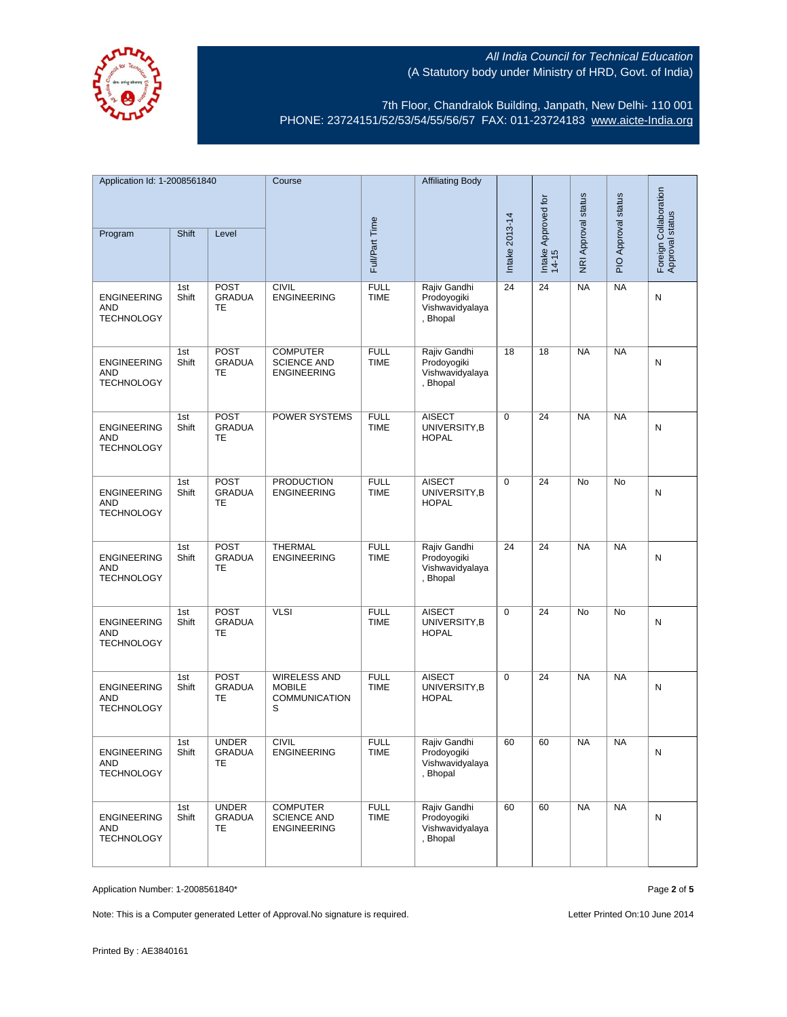

7th Floor, Chandralok Building, Janpath, New Delhi- 110 001 PHONE: 23724151/52/53/54/55/56/57 FAX: 011-23724183 [www.aicte-India.org](http://www.aicte-india.org/)

| Application Id: 1-2008561840                          |              | Course                                     |                                                                   | <b>Affiliating Body</b>    |                                                            |                |                              |                     |                     |                                          |
|-------------------------------------------------------|--------------|--------------------------------------------|-------------------------------------------------------------------|----------------------------|------------------------------------------------------------|----------------|------------------------------|---------------------|---------------------|------------------------------------------|
| Program                                               | Shift        | Level                                      |                                                                   | Full/Part Time             |                                                            | Intake 2013-14 | Intake Approved for<br>14-15 | NRI Approval status | PIO Approval status | Foreign Collaboration<br>Approval status |
|                                                       |              |                                            |                                                                   |                            |                                                            |                |                              |                     |                     |                                          |
| <b>ENGINEERING</b><br><b>AND</b><br><b>TECHNOLOGY</b> | 1st<br>Shift | <b>POST</b><br><b>GRADUA</b><br>TE         | <b>CIVIL</b><br><b>ENGINEERING</b>                                | <b>FULL</b><br><b>TIME</b> | Rajiv Gandhi<br>Prodoyogiki<br>Vishwavidyalaya<br>, Bhopal | 24             | 24                           | <b>NA</b>           | <b>NA</b>           | N                                        |
| <b>ENGINEERING</b><br>AND<br><b>TECHNOLOGY</b>        | 1st<br>Shift | <b>POST</b><br><b>GRADUA</b><br>TE         | <b>COMPUTER</b><br><b>SCIENCE AND</b><br><b>ENGINEERING</b>       | <b>FULL</b><br><b>TIME</b> | Rajiv Gandhi<br>Prodoyogiki<br>Vishwavidyalaya<br>, Bhopal | 18             | 18                           | <b>NA</b>           | <b>NA</b>           | N                                        |
| <b>ENGINEERING</b><br><b>AND</b><br><b>TECHNOLOGY</b> | 1st<br>Shift | <b>POST</b><br><b>GRADUA</b><br>TE         | POWER SYSTEMS                                                     | <b>FULL</b><br><b>TIME</b> | <b>AISECT</b><br>UNIVERSITY, B<br><b>HOPAL</b>             | $\mathbf 0$    | 24                           | <b>NA</b>           | <b>NA</b>           | N                                        |
| <b>ENGINEERING</b><br><b>AND</b><br><b>TECHNOLOGY</b> | 1st<br>Shift | <b>POST</b><br><b>GRADUA</b><br><b>TE</b>  | <b>PRODUCTION</b><br><b>ENGINEERING</b>                           | <b>FULL</b><br><b>TIME</b> | <b>AISECT</b><br>UNIVERSITY, B<br><b>HOPAL</b>             | $\mathbf 0$    | 24                           | No                  | No                  | N                                        |
| <b>ENGINEERING</b><br><b>AND</b><br><b>TECHNOLOGY</b> | 1st<br>Shift | POST<br><b>GRADUA</b><br><b>TE</b>         | <b>THERMAL</b><br><b>ENGINEERING</b>                              | <b>FULL</b><br><b>TIME</b> | Rajiv Gandhi<br>Prodoyogiki<br>Vishwavidyalaya<br>, Bhopal | 24             | 24                           | <b>NA</b>           | <b>NA</b>           | N                                        |
| <b>ENGINEERING</b><br><b>AND</b><br><b>TECHNOLOGY</b> | 1st<br>Shift | <b>POST</b><br><b>GRADUA</b><br>TE         | <b>VLSI</b>                                                       | <b>FULL</b><br><b>TIME</b> | <b>AISECT</b><br>UNIVERSITY, B<br><b>HOPAL</b>             | $\mathbf 0$    | 24                           | <b>No</b>           | No                  | N                                        |
| <b>ENGINEERING</b><br>AND<br><b>TECHNOLOGY</b>        | 1st<br>Shift | <b>POST</b><br><b>GRADUA</b><br>TE         | <b>WIRELESS AND</b><br><b>MOBILE</b><br><b>COMMUNICATION</b><br>S | <b>FULL</b><br><b>TIME</b> | <b>AISECT</b><br>UNIVERSITY, B<br><b>HOPAL</b>             | $\mathbf 0$    | 24                           | <b>NA</b>           | <b>NA</b>           | N                                        |
| <b>ENGINEERING</b><br><b>AND</b><br><b>TECHNOLOGY</b> | 1st<br>Shift | <b>UNDER</b><br><b>GRADUA</b><br>TE.       | <b>CIVIL</b><br><b>ENGINEERING</b>                                | <b>FULL</b><br><b>TIME</b> | Rajiv Gandhi<br>Prodoyogiki<br>Vishwavidyalaya<br>, Bhopal | 60             | 60                           | <b>NA</b>           | <b>NA</b>           | Ν                                        |
| <b>ENGINEERING</b><br>AND<br><b>TECHNOLOGY</b>        | 1st<br>Shift | <b>UNDER</b><br><b>GRADUA</b><br><b>TE</b> | <b>COMPUTER</b><br><b>SCIENCE AND</b><br><b>ENGINEERING</b>       | <b>FULL</b><br><b>TIME</b> | Rajiv Gandhi<br>Prodoyogiki<br>Vishwavidyalaya<br>, Bhopal | 60             | 60                           | <b>NA</b>           | NA                  | N                                        |

Application Number: 1-2008561840\* Page **2** of **5**

Note: This is a Computer generated Letter of Approval. No signature is required. Letter Printed On:10 June 2014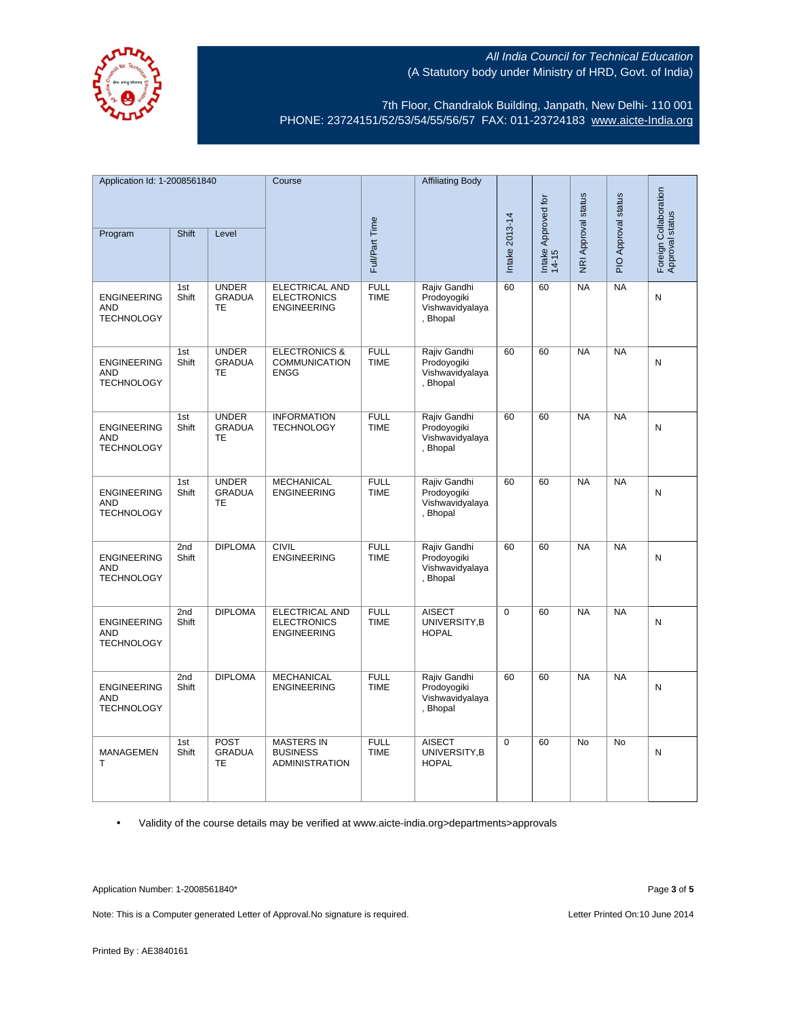

7th Floor, Chandralok Building, Janpath, New Delhi- 110 001 PHONE: 23724151/52/53/54/55/56/57 FAX: 011-23724183 [www.aicte-India.org](http://www.aicte-india.org/)

| Application Id: 1-2008561840                          |              | Course                                     |                                                                   | <b>Affiliating Body</b>    |                                                            |                |                          |                     |                                          |           |
|-------------------------------------------------------|--------------|--------------------------------------------|-------------------------------------------------------------------|----------------------------|------------------------------------------------------------|----------------|--------------------------|---------------------|------------------------------------------|-----------|
| Shift<br>Program<br>Level                             |              |                                            |                                                                   |                            |                                                            | $\overline{5}$ | NRI Approval status      | PIO Approval status | Foreign Collaboration<br>Approval status |           |
|                                                       |              |                                            |                                                                   | Full/Part Time             |                                                            | Intake 2013-14 | Intake Approved<br>14-15 |                     |                                          |           |
| <b>ENGINEERING</b><br><b>AND</b><br><b>TECHNOLOGY</b> | 1st<br>Shift | <b>UNDER</b><br><b>GRADUA</b><br><b>TE</b> | <b>ELECTRICAL AND</b><br><b>ELECTRONICS</b><br><b>ENGINEERING</b> | <b>FULL</b><br><b>TIME</b> | Rajiv Gandhi<br>Prodoyogiki<br>Vishwavidyalaya<br>, Bhopal | 60             | 60                       | <b>NA</b>           | <b>NA</b>                                | ${\sf N}$ |
| <b>ENGINEERING</b><br><b>AND</b><br><b>TECHNOLOGY</b> | 1st<br>Shift | <b>UNDER</b><br><b>GRADUA</b><br><b>TE</b> | <b>ELECTRONICS &amp;</b><br><b>COMMUNICATION</b><br><b>ENGG</b>   | <b>FULL</b><br><b>TIME</b> | Rajiv Gandhi<br>Prodoyogiki<br>Vishwavidyalaya<br>, Bhopal | 60             | 60                       | $N_A$               | NA                                       | N         |
| <b>ENGINEERING</b><br><b>AND</b><br><b>TECHNOLOGY</b> | 1st<br>Shift | <b>UNDER</b><br><b>GRADUA</b><br><b>TE</b> | <b>INFORMATION</b><br><b>TECHNOLOGY</b>                           | <b>FULL</b><br><b>TIME</b> | Rajiv Gandhi<br>Prodoyogiki<br>Vishwavidyalaya<br>, Bhopal | 60             | 60                       | <b>NA</b>           | <b>NA</b>                                | N         |
| <b>ENGINEERING</b><br><b>AND</b><br><b>TECHNOLOGY</b> | 1st<br>Shift | <b>UNDER</b><br><b>GRADUA</b><br><b>TE</b> | <b>MECHANICAL</b><br><b>ENGINEERING</b>                           | <b>FULL</b><br><b>TIME</b> | Rajiv Gandhi<br>Prodoyogiki<br>Vishwavidyalaya<br>, Bhopal | 60             | 60                       | <b>NA</b>           | <b>NA</b>                                | N         |
| <b>ENGINEERING</b><br><b>AND</b><br><b>TECHNOLOGY</b> | 2nd<br>Shift | <b>DIPLOMA</b>                             | <b>CIVIL</b><br><b>ENGINEERING</b>                                | <b>FULL</b><br><b>TIME</b> | Rajiv Gandhi<br>Prodoyogiki<br>Vishwavidyalaya<br>, Bhopal | 60             | 60                       | <b>NA</b>           | NA                                       | N         |
| <b>ENGINEERING</b><br>AND<br><b>TECHNOLOGY</b>        | 2nd<br>Shift | <b>DIPLOMA</b>                             | <b>ELECTRICAL AND</b><br><b>ELECTRONICS</b><br><b>ENGINEERING</b> | <b>FULL</b><br><b>TIME</b> | <b>AISECT</b><br>UNIVERSITY, B<br><b>HOPAL</b>             | $\Omega$       | 60                       | <b>NA</b>           | <b>NA</b>                                | N         |
| <b>ENGINEERING</b><br><b>AND</b><br><b>TECHNOLOGY</b> | 2nd<br>Shift | <b>DIPLOMA</b>                             | <b>MECHANICAL</b><br><b>ENGINEERING</b>                           | <b>FULL</b><br><b>TIME</b> | Rajiv Gandhi<br>Prodoyogiki<br>Vishwavidyalaya<br>, Bhopal | 60             | 60                       | <b>NA</b>           | <b>NA</b>                                | N         |
| MANAGEMEN<br>т                                        | 1st<br>Shift | <b>POST</b><br><b>GRADUA</b><br><b>TE</b>  | <b>MASTERS IN</b><br><b>BUSINESS</b><br><b>ADMINISTRATION</b>     | <b>FULL</b><br><b>TIME</b> | <b>AISECT</b><br>UNIVERSITY, B<br><b>HOPAL</b>             | 0              | 60                       | No                  | No                                       | N         |

• Validity of the course details may be verified at www.aicte-india.org>departments>approvals

Application Number: 1-2008561840\* Page **3** of **5**

Note: This is a Computer generated Letter of Approval.No signature is required. <br>
Letter Printed On:10 June 2014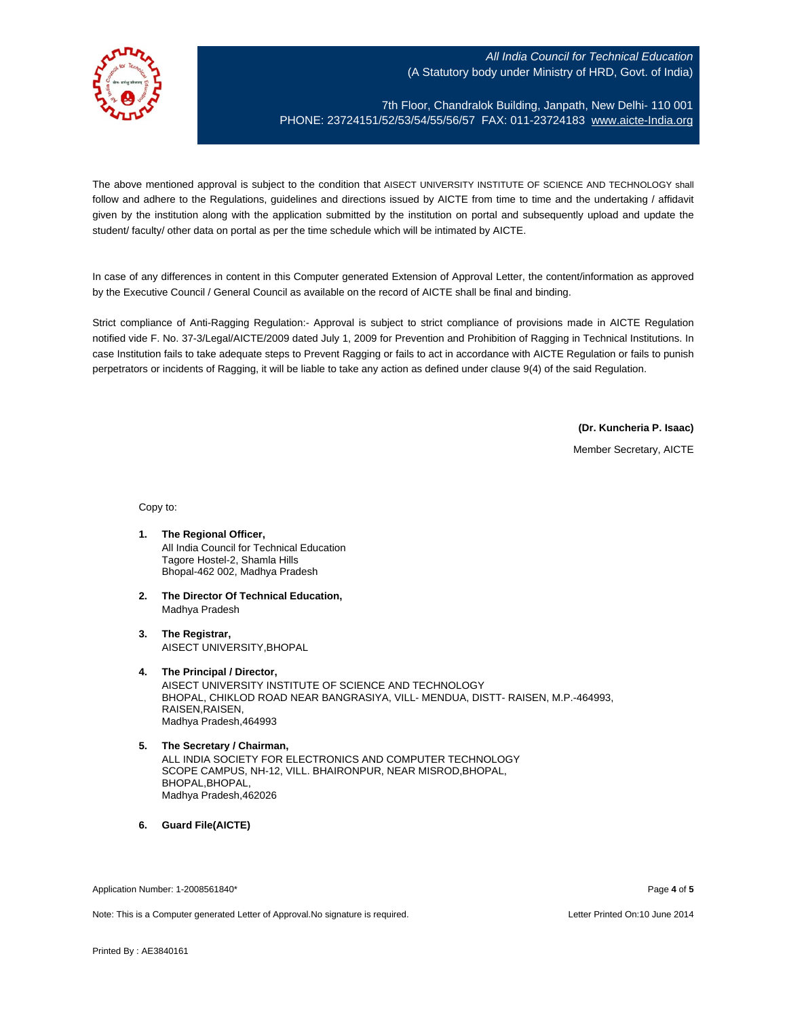

7th Floor, Chandralok Building, Janpath, New Delhi- 110 001 PHONE: 23724151/52/53/54/55/56/57 FAX: 011-23724183 [www.aicte-India.org](http://www.aicte-india.org/)

The above mentioned approval is subject to the condition that AISECT UNIVERSITY INSTITUTE OF SCIENCE AND TECHNOLOGY shall follow and adhere to the Regulations, guidelines and directions issued by AICTE from time to time and the undertaking / affidavit given by the institution along with the application submitted by the institution on portal and subsequently upload and update the student/ faculty/ other data on portal as per the time schedule which will be intimated by AICTE.

In case of any differences in content in this Computer generated Extension of Approval Letter, the content/information as approved by the Executive Council / General Council as available on the record of AICTE shall be final and binding.

Strict compliance of Anti-Ragging Regulation:- Approval is subject to strict compliance of provisions made in AICTE Regulation notified vide F. No. 37-3/Legal/AICTE/2009 dated July 1, 2009 for Prevention and Prohibition of Ragging in Technical Institutions. In case Institution fails to take adequate steps to Prevent Ragging or fails to act in accordance with AICTE Regulation or fails to punish perpetrators or incidents of Ragging, it will be liable to take any action as defined under clause 9(4) of the said Regulation.

**(Dr. Kuncheria P. Isaac)**

Member Secretary, AICTE

Copy to:

- **1. The Regional Officer,** All India Council for Technical Education Tagore Hostel-2, Shamla Hills Bhopal-462 002, Madhya Pradesh
- **2. The Director Of Technical Education,** Madhya Pradesh
- **3. The Registrar,** AISECT UNIVERSITY,BHOPAL
- **4. The Principal / Director,** AISECT UNIVERSITY INSTITUTE OF SCIENCE AND TECHNOLOGY BHOPAL, CHIKLOD ROAD NEAR BANGRASIYA, VILL- MENDUA, DISTT- RAISEN, M.P.-464993, RAISEN,RAISEN, Madhya Pradesh,464993
- **5. The Secretary / Chairman,** ALL INDIA SOCIETY FOR ELECTRONICS AND COMPUTER TECHNOLOGY SCOPE CAMPUS, NH-12, VILL. BHAIRONPUR, NEAR MISROD,BHOPAL, BHOPAL,BHOPAL, Madhya Pradesh,462026
- **6. Guard File(AICTE)**

Application Number: 1-2008561840\* Page **4** of **5**

Note: This is a Computer generated Letter of Approval.No signature is required. Letter According the state of the Printed On:10 June 2014